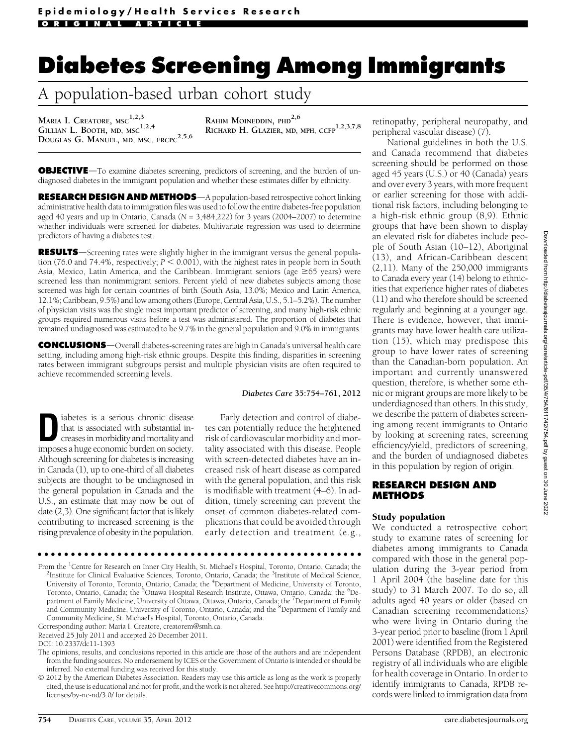# <u>A</u> nopulation-based urban cobort study A population-based urban cohort study

MARIA I. CREATORE, MSC<sup>1,2,3</sup> GILLIAN L. BOOTH, MD, MSC<sup>1,2,4</sup> DOUGLAS G. MANUEL, MD, MSC, FRCPC<sup>2,5,6</sup> RAHIM MOINEDDIN, PHD<sup>2,6</sup> RICHARD H. GLAZIER, MD, MPH, CCFP<sup>1,2,3,7,8</sup>

**OBJECTIVE**—To examine diabetes screening, predictors of screening, and the burden of undiagnosed diabetes in the immigrant population and whether these estimates differ by ethnicity.

RESEARCH DESIGN AND METHODS-A population-based retrospective cohort linking administrative health data to immigration files was used to follow the entire diabetes-free population aged 40 years and up in Ontario, Canada ( $N = 3,484,222$ ) for 3 years (2004–2007) to determine whether individuals were screened for diabetes. Multivariate regression was used to determine predictors of having a diabetes test.

RESULTS—Screening rates were slightly higher in the immigrant versus the general population (76.0 and 74.4%, respectively;  $P \le 0.001$ ), with the highest rates in people born in South Asia, Mexico, Latin America, and the Caribbean. Immigrant seniors (age  $\geq 65$  years) were screened less than nonimmigrant seniors. Percent yield of new diabetes subjects among those screened was high for certain countries of birth (South Asia, 13.0%; Mexico and Latin America, 12.1%; Caribbean, 9.5%) and low among others (Europe, Central Asia, U.S., 5.1–5.2%). The number of physician visits was the single most important predictor of screening, and many high-risk ethnic groups required numerous visits before a test was administered. The proportion of diabetes that remained undiagnosed was estimated to be 9.7% in the general population and 9.0% in immigrants.

**CONCLUSIONS**—Overall diabetes-screening rates are high in Canada's universal health care setting, including among high-risk ethnic groups. Despite this finding, disparities in screening rates between immigrant subgroups persist and multiple physician visits are often required to achieve recommended screening levels.

### Diabetes Care 35:754–761, 2012

Liabetes is a serious chronic disease<br>that is associated with substantial in-<br>creases in morbidity and mortality and<br>imposes a bure associative proposition that is associated with substantial inimposes a huge economic burden on society. Although screening for diabetes is increasing in Canada (1), up to one-third of all diabetes subjects are thought to be undiagnosed in the general population in Canada and the U.S., an estimate that may now be out of date (2,3). One significant factor that is likely contributing to increased screening is the rising prevalence of obesity in the population.

Early detection and control of diabetes can potentially reduce the heightened risk of cardiovascular morbidity and mortality associated with this disease. People with screen-detected diabetes have an increased risk of heart disease as compared with the general population, and this risk is modifiable with treatment (4–6). In addition, timely screening can prevent the onset of common diabetes-related complications that could be avoided through early detection and treatment (e.g.,

### ccccccccccccccccccccccccccccccccccccccccccccccccc

From the <sup>1</sup>Centre for Research on Inner City Health, St. Michael's Hospital, Toronto, Ontario, Canada; the <sup>2</sup>Institute for Clinical Evaluative Sciences, Toronto, Ontario, Canada; the <sup>2</sup>Institute of Medical Science Institute for Clinical Evaluative Sciences, Toronto, Ontario, Canada; the <sup>3</sup>Institute of Medical Science, University of Toronto, Toronto, Ontario, Canada; the <sup>4</sup>Department of Medicine, University of Toronto, Toronto, Ontario, Canada; the <sup>5</sup>Ottawa Hospital Research Institute, Ottawa, Ontario, Canada; the <sup>6</sup>Department of Family Medicine, University of Ottawa, Ottawa, Ontario, Canada; the <sup>7</sup>Department of Family and Community Medicine, University of Toronto, Ontario, Canada; and the <sup>8</sup>Department of Family and Community Medicine, St. Michael's Hospital, Toronto, Ontario, Canada.

Corresponding author: Maria I. Creatore, [creatorem@smh.ca](mailto:creatorem@smh.ca).

Received 25 July 2011 and accepted 26 December 2011.

DOI: 10.2337/dc11-1393

The opinions, results, and conclusions reported in this article are those of the authors and are independent from the funding sources. No endorsement by ICES or the Government of Ontario is intended or should be inferred. No external funding was received for this study.

© 2012 by the American Diabetes Association. Readers may use this article as long as the work is properly cited, the use is educational and not for profit, and the work is not altered. See [http://creativecommons.org/](http://creativecommons.org/licenses/by-nc-nd/3.0/) [licenses/by-nc-nd/3.0/](http://creativecommons.org/licenses/by-nc-nd/3.0/) for details.

retinopathy, peripheral neuropathy, and peripheral vascular disease) (7).

National guidelines in both the U.S. and Canada recommend that diabetes screening should be performed on those aged 45 years (U.S.) or 40 (Canada) years and over every 3 years, with more frequent or earlier screening for those with additional risk factors, including belonging to a high-risk ethnic group (8,9). Ethnic groups that have been shown to display an elevated risk for diabetes include people of South Asian (10–12), Aboriginal (13), and African-Caribbean descent (2,11). Many of the 250,000 immigrants to Canada every year (14) belong to ethnicities that experience higher rates of diabetes (11) and who therefore should be screened regularly and beginning at a younger age. There is evidence, however, that immigrants may have lower health care utilization (15), which may predispose this group to have lower rates of screening than the Canadian-born population. An important and currently unanswered question, therefore, is whether some ethnic or migrant groups are more likely to be underdiagnosed than others. In this study, we describe the pattern of diabetes screening among recent immigrants to Ontario by looking at screening rates, screening efficiency/yield, predictors of screening, and the burden of undiagnosed diabetes in this population by region of origin.

# **RESEARCH DESIGN AND METHODS**

## Study population

We conducted a retrospective cohort study to examine rates of screening for diabetes among immigrants to Canada compared with those in the general population during the 3-year period from 1 April 2004 (the baseline date for this study) to 31 March 2007. To do so, all adults aged 40 years or older (based on Canadian screening recommendations) who were living in Ontario during the 3-year period prior to baseline (from 1 April 2001) were identified from the Registered Persons Database (RPDB), an electronic registry of all individuals who are eligible for health coverage in Ontario. In order to identify immigrants to Canada, RPDB records were linked to immigration data from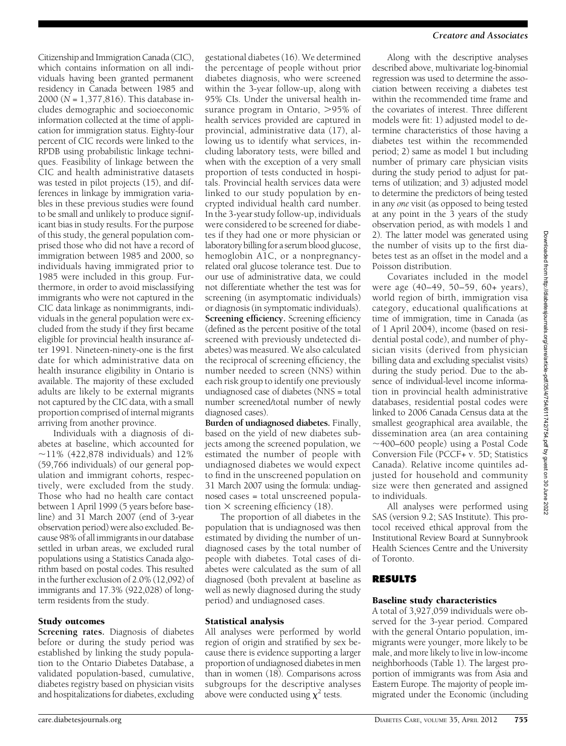Citizenship and Immigration Canada (CIC), which contains information on all individuals having been granted permanent residency in Canada between 1985 and 2000 (N = 1,377,816). This database includes demographic and socioeconomic information collected at the time of application for immigration status. Eighty-four percent of CIC records were linked to the RPDB using probabilistic linkage techniques. Feasibility of linkage between the CIC and health administrative datasets was tested in pilot projects (15), and differences in linkage by immigration variables in these previous studies were found to be small and unlikely to produce significant bias in study results. For the purpose of this study, the general population comprised those who did not have a record of immigration between 1985 and 2000, so individuals having immigrated prior to 1985 were included in this group. Furthermore, in order to avoid misclassifying immigrants who were not captured in the CIC data linkage as nonimmigrants, individuals in the general population were excluded from the study if they first became eligible for provincial health insurance after 1991. Nineteen-ninety-one is the first date for which administrative data on health insurance eligibility in Ontario is available. The majority of these excluded adults are likely to be external migrants not captured by the CIC data, with a small proportion comprised of internal migrants arriving from another province.

Individuals with a diagnosis of diabetes at baseline, which accounted for  $\sim$ 11% (422,878 individuals) and 12% (59,766 individuals) of our general population and immigrant cohorts, respectively, were excluded from the study. Those who had no health care contact between 1 April 1999 (5 years before baseline) and 31 March 2007 (end of 3-year observation period) were also excluded. Because 98% of all immigrants in our database settled in urban areas, we excluded rural populations using a Statistics Canada algorithm based on postal codes. This resulted in the further exclusion of 2.0% (12,092) of immigrants and 17.3% (922,028) of longterm residents from the study.

# Study outcomes

Screening rates. Diagnosis of diabetes before or during the study period was established by linking the study population to the Ontario Diabetes Database, a validated population-based, cumulative, diabetes registry based on physician visits and hospitalizations for diabetes, excluding

gestational diabetes (16). We determined the percentage of people without prior diabetes diagnosis, who were screened within the 3-year follow-up, along with 95% CIs. Under the universal health insurance program in Ontario,  $>95\%$  of health services provided are captured in provincial, administrative data (17), allowing us to identify what services, including laboratory tests, were billed and when with the exception of a very small proportion of tests conducted in hospitals. Provincial health services data were linked to our study population by encrypted individual health card number. In the 3-year study follow-up, individuals were considered to be screened for diabetes if they had one or more physician or laboratory billing for a serum blood glucose, hemoglobin A1C, or a nonpregnancyrelated oral glucose tolerance test. Due to our use of administrative data, we could not differentiate whether the test was for screening (in asymptomatic individuals) or diagnosis (in symptomatic individuals). Screening efficiency. Screening efficiency (defined as the percent positive of the total screened with previously undetected diabetes) was measured. We also calculated the reciprocal of screening efficiency, the number needed to screen (NNS) within each risk group to identify one previously undiagnosed case of diabetes (NNS = total number screened/total number of newly diagnosed cases).

Burden of undiagnosed diabetes. Finally, based on the yield of new diabetes subjects among the screened population, we estimated the number of people with undiagnosed diabetes we would expect to find in the unscreened population on 31 March 2007 using the formula: undiagnosed cases = total unscreened population  $\times$  screening efficiency (18).

The proportion of all diabetes in the population that is undiagnosed was then estimated by dividing the number of undiagnosed cases by the total number of people with diabetes. Total cases of diabetes were calculated as the sum of all diagnosed (both prevalent at baseline as well as newly diagnosed during the study period) and undiagnosed cases.

## Statistical analysis

All analyses were performed by world region of origin and stratified by sex because there is evidence supporting a larger proportion of undiagnosed diabetes in men than in women (18). Comparisons across subgroups for the descriptive analyses above were conducted using  $\chi^2$  tests.

### Creatore and Associates

Along with the descriptive analyses described above, multivariate log-binomial regression was used to determine the association between receiving a diabetes test within the recommended time frame and the covariates of interest. Three different models were fit: 1) adjusted model to determine characteristics of those having a diabetes test within the recommended period; 2) same as model 1 but including number of primary care physician visits during the study period to adjust for patterns of utilization; and 3) adjusted model to determine the predictors of being tested in any one visit (as opposed to being tested at any point in the 3 years of the study observation period, as with models 1 and 2). The latter model was generated using the number of visits up to the first diabetes test as an offset in the model and a Poisson distribution.

Covariates included in the model were age (40–49, 50–59, 60+ years), world region of birth, immigration visa category, educational qualifications at time of immigration, time in Canada (as of 1 April 2004), income (based on residential postal code), and number of physician visits (derived from physician billing data and excluding specialist visits) during the study period. Due to the absence of individual-level income information in provincial health administrative databases, residential postal codes were linked to 2006 Canada Census data at the smallest geographical area available, the dissemination area (an area containing  $\sim$ 400–600 people) using a Postal Code Conversion File (PCCF+ v. 5D; Statistics Canada). Relative income quintiles adjusted for household and community size were then generated and assigned to individuals.

All analyses were performed using SAS (version 9.2; SAS Institute). This protocol received ethical approval from the Institutional Review Board at Sunnybrook Health Sciences Centre and the University of Toronto.

## Baseline study characteristics

A total of 3,927,059 individuals were observed for the 3-year period. Compared with the general Ontario population, immigrants were younger, more likely to be male, and more likely to live in low-income neighborhoods (Table 1). The largest proportion of immigrants was from Asia and Eastern Europe. The majority of people immigrated under the Economic (including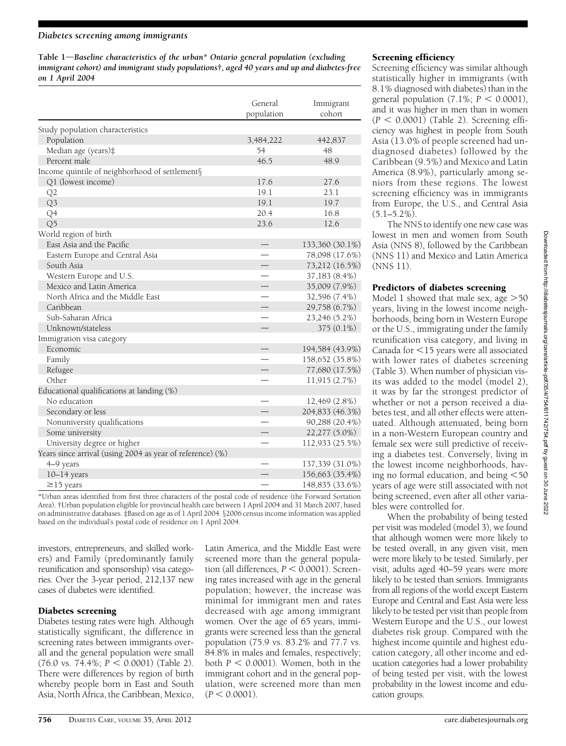### Diabetes screening among immigrants

Table  $1$ —Baseline characteristics of the urban\* Ontario general population (excluding immigrant cohort) and immigrant study populations†, aged 40 years and up and diabetes-free on 1 April 2004

|                                                           | General<br>population | Immigrant<br>cohort |
|-----------------------------------------------------------|-----------------------|---------------------|
| Study population characteristics                          |                       |                     |
| Population                                                | 3,484,222             | 442,837             |
| Median age (years)‡                                       | 54                    | 48                  |
| Percent male                                              | 46.5                  | 48.9                |
| Income quintile of neighborhood of settlement§            |                       |                     |
| Q1 (lowest income)                                        | 17.6                  | 27.6                |
| Q <sub>2</sub>                                            | 19.1                  | 23.1                |
| Q3                                                        | 19.1                  | 19.7                |
| Q <sub>4</sub>                                            | 20.4                  | 16.8                |
| Q5                                                        | 23.6                  | 12.6                |
| World region of birth                                     |                       |                     |
| East Asia and the Pacific                                 |                       | 133,360 (30.1%)     |
| Eastern Europe and Central Asia                           |                       | 78,098 (17.6%)      |
| South Asia                                                |                       | 73,212 (16.5%)      |
| Western Europe and U.S.                                   |                       | 37,183 (8.4%)       |
| Mexico and Latin America                                  |                       | 35,009 (7.9%)       |
| North Africa and the Middle East                          |                       | 32,596 (7.4%)       |
| Caribbean                                                 |                       | 29,758 (6.7%)       |
| Sub-Saharan Africa                                        |                       | 23,246 (5.2%)       |
| Unknown/stateless                                         |                       | 375 (0.1%)          |
| Immigration visa category                                 |                       |                     |
| Economic                                                  |                       | 194,584 (43.9%)     |
| Family                                                    |                       | 158,652 (35.8%)     |
| Refugee                                                   |                       | 77,680 (17.5%)      |
| Other                                                     |                       | 11,915 (2.7%)       |
| Educational qualifications at landing (%)                 |                       |                     |
| No education                                              |                       | 12,469 (2.8%)       |
| Secondary or less                                         |                       | 204,833 (46.3%)     |
| Nonuniversity qualifications                              |                       | 90,288 (20.4%)      |
| Some university                                           |                       | 22,277 (5.0%)       |
| University degree or higher                               |                       | 112,933 (25.5%)     |
| Years since arrival (using 2004 as year of reference) (%) |                       |                     |
| 4-9 years                                                 |                       | 137,339 (31.0%)     |
| $10-14$ years                                             |                       | 156,663 (35.4%)     |
| $\geq$ 15 years                                           |                       | 148,835 (33.6%)     |

\*Urban areas identified from first three characters of the postal code of residence (the Forward Sortation Area). †Urban population eligible for provincial health care between 1 April 2004 and 31 March 2007, based on administrative databases. #Based on age as of 1 April 2004. §2006 census income information was applied based on the individual's postal code of residence on 1 April 2004.

investors, entrepreneurs, and skilled workers) and Family (predominantly family reunification and sponsorship) visa categories. Over the 3-year period, 212,137 new cases of diabetes were identified.

## Diabetes screening

Diabetes testing rates were high. Although statistically significant, the difference in screening rates between immigrants overall and the general population were small  $(76.0 \text{ vs. } 74.4\%; P < 0.0001)$  (Table 2). There were differences by region of birth whereby people born in East and South Asia, North Africa, the Caribbean, Mexico,

Latin America, and the Middle East were screened more than the general population (all differences,  $P < 0.0001$ ). Screening rates increased with age in the general population; however, the increase was minimal for immigrant men and rates decreased with age among immigrant women. Over the age of 65 years, immigrants were screened less than the general population (75.9 vs. 83.2% and 77.7 vs. 84.8% in males and females, respectively; both  $P < 0.0001$ ). Women, both in the immigrant cohort and in the general population, were screened more than men  $(P < 0.0001)$ .

# Screening efficiency

Screening efficiency was similar although statistically higher in immigrants (with 8.1% diagnosed with diabetes) than in the general population  $(7.1\%; P < 0.0001)$ , and it was higher in men than in women  $(P < 0.0001)$  (Table 2). Screening efficiency was highest in people from South Asia (13.0% of people screened had undiagnosed diabetes) followed by the Caribbean (9.5%) and Mexico and Latin America (8.9%), particularly among seniors from these regions. The lowest screening efficiency was in immigrants from Europe, the U.S., and Central Asia  $(5.1 - 5.2\%)$ .

The NNS to identify one new case was lowest in men and women from South Asia (NNS 8), followed by the Caribbean (NNS 11) and Mexico and Latin America (NNS 11).

# Predictors of diabetes screening

Model 1 showed that male sex, age  $>50$ years, living in the lowest income neighborhoods, being born in Western Europe or the U.S., immigrating under the family reunification visa category, and living in Canada for  $\leq$ 15 years were all associated with lower rates of diabetes screening (Table 3). When number of physician visits was added to the model (model 2), it was by far the strongest predictor of whether or not a person received a diabetes test, and all other effects were attenuated. Although attenuated, being born in a non-Western European country and female sex were still predictive of receiving a diabetes test. Conversely, living in the lowest income neighborhoods, having no formal education, and being  $<$  50 years of age were still associated with not being screened, even after all other variables were controlled for.

When the probability of being tested per visit was modeled (model 3), we found that although women were more likely to be tested overall, in any given visit, men were more likely to be tested. Similarly, per visit, adults aged 40–59 years were more likely to be tested than seniors. Immigrants from all regions of the world except Eastern Europe and Central and East Asia were less likely to be tested per visit than people from Western Europe and the U.S., our lowest diabetes risk group. Compared with the highest income quintile and highest education category, all other income and education categories had a lower probability of being tested per visit, with the lowest probability in the lowest income and education groups.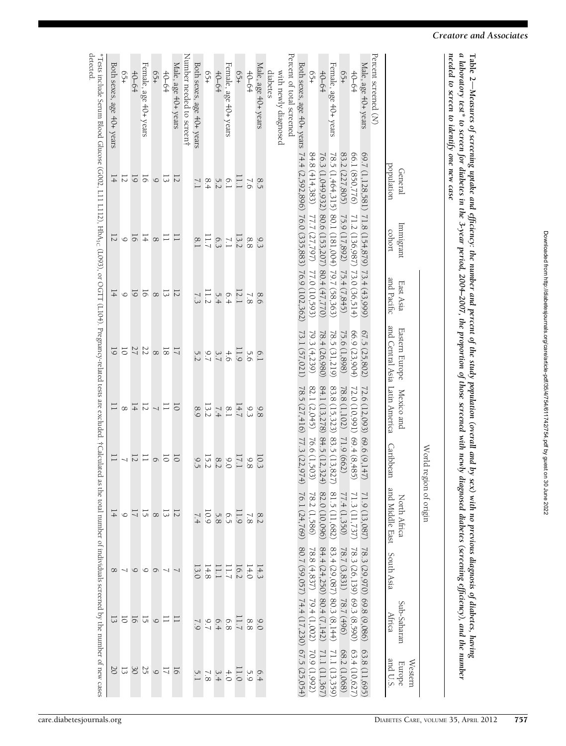| J                                                                   |
|---------------------------------------------------------------------|
|                                                                     |
|                                                                     |
|                                                                     |
|                                                                     |
|                                                                     |
|                                                                     |
|                                                                     |
|                                                                     |
| :                                                                   |
| ֖֖֖֖֖֖֖֖֧ׅ֖ׅ֖֖֖֖֖֖֖֧֪֪֪֪֪֪֪ׅ֖֚֚֚֚֚֚֚֚֚֚֚֚֚֚֚֚֚֚֚֚֚֚֚֚֚֚֚֚֬֝֝֓֞      |
|                                                                     |
|                                                                     |
|                                                                     |
|                                                                     |
|                                                                     |
|                                                                     |
|                                                                     |
| ś                                                                   |
| Ś                                                                   |
|                                                                     |
|                                                                     |
| a a sa a                                                            |
|                                                                     |
|                                                                     |
|                                                                     |
|                                                                     |
| :                                                                   |
| ۱<br>١                                                              |
|                                                                     |
|                                                                     |
| i                                                                   |
| l                                                                   |
| ì                                                                   |
|                                                                     |
|                                                                     |
|                                                                     |
|                                                                     |
|                                                                     |
|                                                                     |
|                                                                     |
|                                                                     |
|                                                                     |
|                                                                     |
|                                                                     |
|                                                                     |
|                                                                     |
| ۱                                                                   |
|                                                                     |
|                                                                     |
|                                                                     |
| l                                                                   |
|                                                                     |
|                                                                     |
| <b>Conditions and the state of the Conditions of the Conditions</b> |
|                                                                     |
| ı                                                                   |
|                                                                     |
| 2                                                                   |
| Ì                                                                   |
|                                                                     |
|                                                                     |
|                                                                     |
|                                                                     |
|                                                                     |
|                                                                     |
| j                                                                   |
| l                                                                   |
|                                                                     |
|                                                                     |
|                                                                     |
|                                                                     |
|                                                                     |
|                                                                     |
|                                                                     |
| ;<br>>>                                                             |
|                                                                     |
| $\ddot{\phantom{a}}$<br>;<br>}                                      |
|                                                                     |
|                                                                     |
|                                                                     |
| אר הווחת החווה זהרד<br>2022                                         |
|                                                                     |
|                                                                     |
|                                                                     |

| Table 2—Measures of screening uptake and efficiency: the number and percent of the study population (overall and by se<br>ith no previous diagnosis of<br>of diabetes, having    |
|----------------------------------------------------------------------------------------------------------------------------------------------------------------------------------|
| a laboratory test* to screen for diabetes in the 3-year period, 2004–2007, the proportion of those screened with newly dia<br>ed diabetes (screening efficiency), and the number |
| needed to screen to identify one new case                                                                                                                                        |
|                                                                                                                                                                                  |

World

region of origin

|                                  | population<br>General                                                                      | Immigrant<br>cohort          | and Pacific<br>East Asia | and Central Asia Latin America<br>Eastern Europe Mexico and |                             | Caribbean                  | and Middle East<br>South Asia<br>North Africa                     |                              | Sub-Saharan<br>Africa                     | Europe<br>and U.S.<br>Western    |
|----------------------------------|--------------------------------------------------------------------------------------------|------------------------------|--------------------------|-------------------------------------------------------------|-----------------------------|----------------------------|-------------------------------------------------------------------|------------------------------|-------------------------------------------|----------------------------------|
| Percent screened (N)             |                                                                                            |                              |                          |                                                             |                             |                            |                                                                   |                              |                                           |                                  |
| Male, age 40+ years              | 69.7 (1,128,581)                                                                           | 71.8 (154,879) 73.4 (43,999) |                          | 67.5 (25,802)                                               | 72.6 (12,093) 69.6 (9,147)  |                            |                                                                   | 78.3 (29,970)                | 69.8 (9,086)                              |                                  |
| $+0-64$                          | 66.1 (850,776)                                                                             | 71.2 (136,987) 73.0 (36,514) |                          | 66.9 (23,904)                                               | 72.0 (10,991) 69.4 (8,485)  |                            | $\begin{array}{c} 71.9 \,(13,087) \\ 71.3 \,(11,737) \end{array}$ | 78.3 (26,139)                | 69.3 (8,590)                              | $63.8(11,695)$<br>$63.4(10,627)$ |
| 65+                              |                                                                                            |                              |                          | 75.6 (1,898)                                                | 78.8 (1,102)                | 71.9 (662)                 |                                                                   | 78.7 (3,831)                 | 78.7(496)                                 | 68.2 (1,068)                     |
| Female, age 40+ years            | 83.2 (227,805) 75.9 (17,892) 75.4 (7,845)<br>78.5 (1,464,315) 80.1 (181,004) 79.7 (58,363) |                              |                          | 78.5 (31,219)                                               | 83.8 (15,323) 83.5 (13,827) |                            | $77.4(1,350)$<br>81.5(11,682)                                     | $83.4(29,087)$ 80.3 (8,144)  |                                           | 71.1 (13,359)                    |
| $40 - 64$                        | 76.3 (1,049,932)                                                                           | 80.6 (153,207) 80.4 (47,770) |                          | 78.4 (26,980)                                               | 84.1 (13,278) 84.5 (12,324) |                            | 82.0 (10,096)                                                     | $84.4(24,250)$ $80.4(7,142)$ |                                           | 71.1 (11,367)                    |
| 65+                              | 84.8(414,383)                                                                              | 77.7 (27,797) 77.0 (10,593)  |                          | 79.3 (4,239)                                                | 82.1 (2,045) 76.6 (1,503)   |                            | 78.2 (1,586)                                                      | 78.8 (4,837)                 | 79.4(1,002)                               | 70.9 (1,992)                     |
| Both sexes, age 40+ years        | 74.4 (2,592,896) 76.0 (335,883) 76.9 (102,362)                                             |                              |                          | 73.1 (57,021)                                               | 78.5 (27,416) 77.3 (22,974) |                            | 76.1 (24,769)                                                     |                              | 80.7 (59,057) 74.4 (17,230) 67.5 (25,054) |                                  |
| Percent of total screened        |                                                                                            |                              |                          |                                                             |                             |                            |                                                                   |                              |                                           |                                  |
| with newly diagnosed<br>diabetes |                                                                                            |                              |                          |                                                             |                             |                            |                                                                   |                              |                                           |                                  |
| Male, age 40+ years              | 8.5                                                                                        | 9.3                          | 8.6                      | 6.1                                                         | 9.8                         | 10.3                       |                                                                   | 14.3                         | 0.0                                       | 6.4                              |
| $+0-64$                          | $\sqrt{6}$                                                                                 | $8.8\,$                      | 7.8                      | 5.6                                                         | 9.3                         | $9.8$                      | $\frac{8.2}{7.8}$                                                 | 14.0                         | $8.8\,$                                   | 5.9                              |
| $65+$                            | L 1                                                                                        | 13.2                         | 12.1                     | $\overline{1.9}$                                            | 14.7                        | 17.1                       |                                                                   | 16.2                         | $\overline{1.7}$                          | 1.0                              |
| Female, age 40+ years            | 6.1                                                                                        | $\overline{11}$              | 6.4                      | 4.6                                                         | 8.1                         | 0.0                        | $\frac{11.9}{6.9}$                                                |                              | 6.8                                       | $4.0$                            |
| $40 - 64$                        | 5.2                                                                                        | 6.3                          |                          | 3.7                                                         | 7.4                         | 8.2                        |                                                                   | 11.1                         |                                           |                                  |
| -95                              | 8.4                                                                                        | 11.7                         | $\frac{5.4}{1.2}$        | 67                                                          | 13.2                        | 15.2                       | 0.9                                                               | 14.8                         | 6.4                                       | $\frac{3.4}{7.8}$                |
| Both sexes, age 40+ years        |                                                                                            | $\frac{8}{8}$                |                          | 5.2                                                         | 8.9                         | 9.5                        | 7.4                                                               | 13.0                         |                                           |                                  |
| Number needed to screen†         |                                                                                            |                              |                          |                                                             |                             |                            |                                                                   |                              |                                           |                                  |
| Male, age 40+ years              | 12                                                                                         |                              | $\overline{5}$           | $\overline{a}$                                              | $\overline{0}$              | $\overline{\circ}$         |                                                                   |                              | ᆮ                                         |                                  |
| $+0-64$                          | $\overline{c}$                                                                             |                              | $\overline{c}$           | $\overline{8}$                                              |                             |                            |                                                                   |                              | $\Box$                                    |                                  |
| $65 +$                           | $\circ$                                                                                    | $\infty$                     | $\infty$                 | $\infty$                                                    | $\frac{1}{11}$              | $\circ$ $\overline{\circ}$ |                                                                   | $\circ$                      |                                           |                                  |
| Female, age 40+ years            | $\overline{6}$                                                                             | $\frac{1}{4}$                | $\overline{6}$           |                                                             | $\overline{z}$              | 一二                         | $\frac{17}{12}$ $\frac{17}{12}$ $\frac{17}{12}$                   |                              | $\frac{9}{10}$                            | 15293212                         |
| $+0-64$                          | $\overline{6}$                                                                             | $\overline{6}$               | $\overline{6}$           | 227                                                         | $\frac{1}{4}$               |                            |                                                                   | $\infty$ $\sim$ $\infty$     |                                           |                                  |
| $65+$                            | $\overline{z}$                                                                             | $\circ$                      | $\circ$                  | $\frac{1}{9}$                                               | $\infty$                    | $\frac{1}{2}$              |                                                                   |                              | $\overline{0}$                            |                                  |
| Both sexes, age 40+ vears        | $\frac{1}{4}$                                                                              | $\overline{2}$               | $\frac{1}{4}$            |                                                             | $\overline{\phantom{0}}$    | $\overline{\phantom{0}}$   |                                                                   |                              | 53                                        |                                  |

Both sexes, age 40+ years\*Tests include Serum Blood Glucose (G002, $\Box$  L112),**HbA<sub>1C</sub>** (L093), or OGTT (L104). Pregnancy-related tests are excluded. †Calculated as the total number of individuals screened by the number of new cases detected.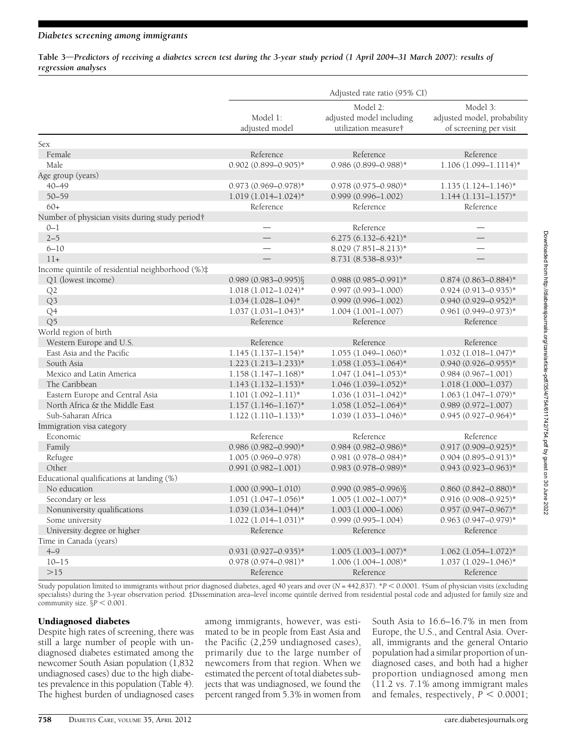Table 3—Predictors of receiving a diabetes screen test during the 3-year study period (1 April 2004–31 March 2007): results of regression analyses

|                                                             | Adjusted rate ratio (95% CI) |                                                              |                                                                   |  |  |  |  |
|-------------------------------------------------------------|------------------------------|--------------------------------------------------------------|-------------------------------------------------------------------|--|--|--|--|
|                                                             | Model 1:<br>adjusted model   | Model 2:<br>adjusted model including<br>utilization measure† | Model 3:<br>adjusted model, probability<br>of screening per visit |  |  |  |  |
| Sex                                                         |                              |                                                              |                                                                   |  |  |  |  |
| Female                                                      | Reference                    | Reference                                                    | Reference                                                         |  |  |  |  |
| Male.                                                       | $0.902$ $(0.899 - 0.905)^*$  | $0.986(0.899 - 0.988)*$                                      | $1.106(1.099 - 1.1114)^*$                                         |  |  |  |  |
| Age group (years)                                           |                              |                                                              |                                                                   |  |  |  |  |
| $40 - 49$                                                   | $0.973(0.969 - 0.978)$ *     | $0.978(0.975 - 0.980)$ *                                     | $1.135(1.124 - 1.146)^*$                                          |  |  |  |  |
| $50 - 59$                                                   | $1.019(1.014 - 1.024)^*$     | $0.999(0.996 - 1.002)$                                       | $1.144(1.131 - 1.157)^*$                                          |  |  |  |  |
| $60+$                                                       | Reference                    | Reference                                                    | Reference                                                         |  |  |  |  |
| Number of physician visits during study period <sup>†</sup> |                              |                                                              |                                                                   |  |  |  |  |
| $0 - 1$                                                     |                              | Reference                                                    |                                                                   |  |  |  |  |
| $2 - 5$                                                     |                              | $6.275(6.132 - 6.421)$ *                                     |                                                                   |  |  |  |  |
| $6 - 10$                                                    | $\overline{\phantom{a}}$     | 8.029 (7.851-8.213)*                                         |                                                                   |  |  |  |  |
| $11+$                                                       |                              | 8.731 (8.538-8.93)*                                          |                                                                   |  |  |  |  |
| Income quintile of residential neighborhood (%)#            |                              |                                                              |                                                                   |  |  |  |  |
| Q1 (lowest income)                                          | $0.989(0.983 - 0.995)\$      | $0.988(0.985 - 0.991)*$                                      | $0.874(0.863 - 0.884)^*$                                          |  |  |  |  |
| Q2                                                          | $1.018(1.012 - 1.024)^*$     | $0.997(0.993 - 1.000)$                                       | $0.924(0.913 - 0.935)^*$                                          |  |  |  |  |
| Q <sub>3</sub>                                              | $1.034(1.028 - 1.04)^*$      | $0.999(0.996 - 1.002)$                                       | $0.940(0.929 - 0.952)*$                                           |  |  |  |  |
| Q4                                                          | $1.037(1.031 - 1.043)^*$     | $1.004(1.001 - 1.007)$                                       | $0.961(0.949 - 0.973)*$                                           |  |  |  |  |
| Q <sub>5</sub>                                              | Reference                    | Reference                                                    | Reference                                                         |  |  |  |  |
| World region of birth                                       |                              |                                                              |                                                                   |  |  |  |  |
| Western Europe and U.S.                                     | Reference                    | Reference                                                    | Reference                                                         |  |  |  |  |
| East Asia and the Pacific                                   | $1.145(1.137-1.154)$ *       | $1.055(1.049 - 1.060)*$                                      | $1.032(1.018 - 1.047)^*$                                          |  |  |  |  |
| South Asia                                                  | $1.223(1.213 - 1.233)*$      | $1.058(1.053 - 1.064)$ *                                     | $0.940(0.926 - 0.955)*$                                           |  |  |  |  |
| Mexico and Latin America                                    | $1.158(1.147-1.168)$ *       | $1.047(1.041-1.053)*$                                        | $0.984(0.967 - 1.001)$                                            |  |  |  |  |
| The Caribbean                                               | $1.143(1.132 - 1.153)^*$     | $1.046(1.039 - 1.052)^*$                                     | $1.018(1.000 - 1.037)$                                            |  |  |  |  |
| Eastern Europe and Central Asia                             | $1.101(1.092 - 1.11)^*$      | $1.036(1.031-1.042)$ *                                       | $1.063(1.047-1.079)$ *                                            |  |  |  |  |
| North Africa & the Middle East                              | $1.157(1.146 - 1.167)^*$     | $1.058(1.052 - 1.064)$ *                                     | $0.989(0.972 - 1.007)$                                            |  |  |  |  |
| Sub-Saharan Africa                                          | $1.122(1.110-1.133)*$        | $1.039(1.033 - 1.046)^*$                                     | $0.945(0.927 - 0.964)$ *                                          |  |  |  |  |
| Immigration visa category                                   |                              |                                                              |                                                                   |  |  |  |  |
| Economic                                                    | Reference                    | Reference                                                    | Reference                                                         |  |  |  |  |
| Family                                                      | $0.986(0.982 - 0.990)$ *     | $0.984(0.982 - 0.986)$ *                                     | $0.917(0.909 - 0.925)*$                                           |  |  |  |  |
| Refugee                                                     | 1.005 (0.969-0.978)          | $0.981(0.978 - 0.984)$ *                                     | $0.904(0.895 - 0.913)*$                                           |  |  |  |  |
| Other                                                       | $0.991(0.982 - 1.001)$       | $0.983$ $(0.978 - 0.989)$ *                                  | $0.943(0.923 - 0.963)^*$                                          |  |  |  |  |
| Educational qualifications at landing (%)                   |                              |                                                              |                                                                   |  |  |  |  |
| No education                                                | $1.000(0.990 - 1.010)$       | $0.990(0.985 - 0.996)\$                                      | $0.860(0.842 - 0.880)$ *                                          |  |  |  |  |
| Secondary or less                                           | $1.051(1.047-1.056)$ *       | $1.005(1.002 - 1.007)^*$                                     | $0.916(0.908 - 0.925)^*$                                          |  |  |  |  |
| Nonuniversity qualifications                                | $1.039(1.034 - 1.044)*$      | $1.003(1.000 - 1.006)$                                       | $0.957$ $(0.947 - 0.967)^*$                                       |  |  |  |  |
| Some university                                             | $1.022(1.014 - 1.031)^*$     | $0.999(0.995 - 1.004)$                                       | $0.963(0.947 - 0.979)$ *                                          |  |  |  |  |
| University degree or higher                                 | Reference                    | Reference                                                    | Reference                                                         |  |  |  |  |
| Time in Canada (years)                                      |                              |                                                              |                                                                   |  |  |  |  |
| $4 - 9$                                                     | $0.931(0.927 - 0.935)^*$     | $1.005(1.003 - 1.007)^*$                                     | $1.062(1.054 - 1.072)*$                                           |  |  |  |  |
| $10 - 15$                                                   | $0.978(0.974 - 0.981)$ *     | $1.006(1.004 - 1.008)*$                                      | $1.037(1.029 - 1.046)^*$                                          |  |  |  |  |
| >15                                                         | Reference                    | Reference                                                    | Reference                                                         |  |  |  |  |

Downloaded from http://diabetesjournals.org/care/artiole-pdf/35/4/754/611742/754.pdf by guest on 30 June 2022

Downloaded from http://diabetesjournals.org/care/article-pdf/35/4/754/611742/754.pdf by guest on 30 June 2022

Study population limited to immigrants without prior diagnosed diabetes, aged 40 years and over  $(N = 442,837)$ . \*P < 0.0001. †Sum of physician visits (excluding specialists) during the 3-year observation period. ‡Dissemination area–level income quintile derived from residential postal code and adjusted for family size and community size.  $\S P \le 0.001$ .

## Undiagnosed diabetes

Despite high rates of screening, there was still a large number of people with undiagnosed diabetes estimated among the newcomer South Asian population (1,832 undiagnosed cases) due to the high diabetes prevalence in this population (Table 4). The highest burden of undiagnosed cases among immigrants, however, was estimated to be in people from East Asia and the Pacific (2,259 undiagnosed cases), primarily due to the large number of newcomers from that region. When we estimated the percent of total diabetes subjects that was undiagnosed, we found the percent ranged from 5.3% in women from

South Asia to 16.6–16.7% in men from Europe, the U.S., and Central Asia. Overall, immigrants and the general Ontario population had a similar proportion of undiagnosed cases, and both had a higher proportion undiagnosed among men (11.2 vs. 7.1% among immigrant males and females, respectively,  $P < 0.0001$ ;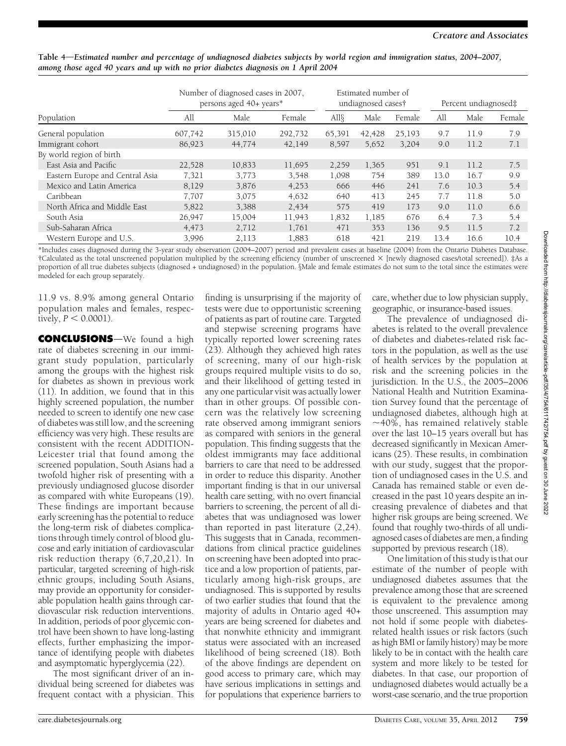|                                 | Number of diagnosed cases in 2007,<br>persons aged 40+ years* |         | Estimated number of<br>undiagnosed cases† |        |        | Percent undiagnosed‡ |      |      |        |
|---------------------------------|---------------------------------------------------------------|---------|-------------------------------------------|--------|--------|----------------------|------|------|--------|
| Population                      | All                                                           | Male    | Female                                    | All§   | Male   | Female               | All  | Male | Female |
| General population              | 607,742                                                       | 315,010 | 292,732                                   | 65,391 | 42,428 | 25,193               | 9.7  | 11.9 | 7.9    |
| Immigrant cohort                | 86,923                                                        | 44,774  | 42,149                                    | 8.597  | 5,652  | 3,204                | 9.0  | 11.2 | 7.1    |
| By world region of birth        |                                                               |         |                                           |        |        |                      |      |      |        |
| East Asia and Pacific           | 22,528                                                        | 10,833  | 11,695                                    | 2,259  | 1,365  | 951                  | 9.1  | 11.2 | 7.5    |
| Eastern Europe and Central Asia | 7,321                                                         | 3,773   | 3,548                                     | 1,098  | 754    | 389                  | 13.0 | 16.7 | 9.9    |
| Mexico and Latin America        | 8,129                                                         | 3,876   | 4,253                                     | 666    | 446    | 241                  | 7.6  | 10.3 | 5.4    |
| Caribbean                       | 7,707                                                         | 3,075   | 4,632                                     | 640    | 413    | 245                  | 7.7  | 11.8 | 5.0    |
| North Africa and Middle East    | 5,822                                                         | 3,388   | 2,434                                     | 575    | 419    | 173                  | 9.0  | 11.0 | 6.6    |
| South Asia                      | 26,947                                                        | 15,004  | 11,943                                    | 1,832  | 1,185  | 676                  | 6.4  | 7.3  | 5.4    |
| Sub-Saharan Africa              | 4,473                                                         | 2,712   | 1,761                                     | 471    | 353    | 136                  | 9.5  | 11.5 | 7.2    |
| Western Europe and U.S.         | 3.996                                                         | 2,113   | 1,883                                     | 618    | 421    | 219                  | 13.4 | 16.6 | 10.4   |

Table 4—Estimated number and percentage of undiagnosed diabetes subjects by world region and immigration status, 2004–2007, among those aged 40 years and up with no prior diabetes diagnosis on 1 April 2004

\*Includes cases diagnosed during the 3-year study observation (2004–2007) period and prevalent cases at baseline (2004) from the Ontario Diabetes Database. †Calculated as the total unscreened population multiplied by the screening efficiency (number of unscreened 3 [newly diagnosed cases/total screened]). ‡As a proportion of all true diabetes subjects (diagnosed + undiagnosed) in the population. §Male and female estimates do not sum to the total since the estimates were modeled for each group separately.

11.9 vs. 8.9% among general Ontario population males and females, respectively,  $P < 0.0001$ ).

**CONCLUSIONS**—We found a high rate of diabetes screening in our immigrant study population, particularly among the groups with the highest risk for diabetes as shown in previous work (11). In addition, we found that in this highly screened population, the number needed to screen to identify one new case of diabetes was still low, and the screening efficiency was very high. These results are consistent with the recent ADDITION-Leicester trial that found among the screened population, South Asians had a twofold higher risk of presenting with a previously undiagnosed glucose disorder as compared with white Europeans (19). These findings are important because early screening has the potential to reduce the long-term risk of diabetes complications through timely control of blood glucose and early initiation of cardiovascular risk reduction therapy (6,7,20,21). In particular, targeted screening of high-risk ethnic groups, including South Asians, may provide an opportunity for considerable population health gains through cardiovascular risk reduction interventions. In addition, periods of poor glycemic control have been shown to have long-lasting effects, further emphasizing the importance of identifying people with diabetes and asymptomatic hyperglycemia (22).

The most significant driver of an individual being screened for diabetes was frequent contact with a physician. This

finding is unsurprising if the majority of tests were due to opportunistic screening of patients as part of routine care. Targeted and stepwise screening programs have typically reported lower screening rates (23). Although they achieved high rates of screening, many of our high-risk groups required multiple visits to do so, and their likelihood of getting tested in any one particular visit was actually lower than in other groups. Of possible concern was the relatively low screening rate observed among immigrant seniors as compared with seniors in the general population. This finding suggests that the oldest immigrants may face additional barriers to care that need to be addressed in order to reduce this disparity. Another important finding is that in our universal health care setting, with no overt financial barriers to screening, the percent of all diabetes that was undiagnosed was lower than reported in past literature (2,24). This suggests that in Canada, recommendations from clinical practice guidelines on screening have been adopted into practice and a low proportion of patients, particularly among high-risk groups, are undiagnosed. This is supported by results of two earlier studies that found that the majority of adults in Ontario aged 40+ years are being screened for diabetes and that nonwhite ethnicity and immigrant status were associated with an increased likelihood of being screened (18). Both of the above findings are dependent on good access to primary care, which may have serious implications in settings and for populations that experience barriers to

care, whether due to low physician supply, geographic, or insurance-based issues.

The prevalence of undiagnosed diabetes is related to the overall prevalence of diabetes and diabetes-related risk factors in the population, as well as the use of health services by the population at risk and the screening policies in the jurisdiction. In the U.S., the 2005–2006 National Health and Nutrition Examination Survey found that the percentage of undiagnosed diabetes, although high at  $\sim$ 40%, has remained relatively stable over the last 10–15 years overall but has decreased significantly in Mexican Americans (25). These results, in combination with our study, suggest that the proportion of undiagnosed cases in the U.S. and Canada has remained stable or even decreased in the past 10 years despite an increasing prevalence of diabetes and that higher risk groups are being screened. We found that roughly two-thirds of all undiagnosed cases of diabetes are men, a finding supported by previous research (18).

One limitation of this study is that our estimate of the number of people with undiagnosed diabetes assumes that the prevalence among those that are screened is equivalent to the prevalence among those unscreened. This assumption may not hold if some people with diabetesrelated health issues or risk factors (such as high BMI or family history) may be more likely to be in contact with the health care system and more likely to be tested for diabetes. In that case, our proportion of undiagnosed diabetes would actually be a worst-case scenario, and the true proportion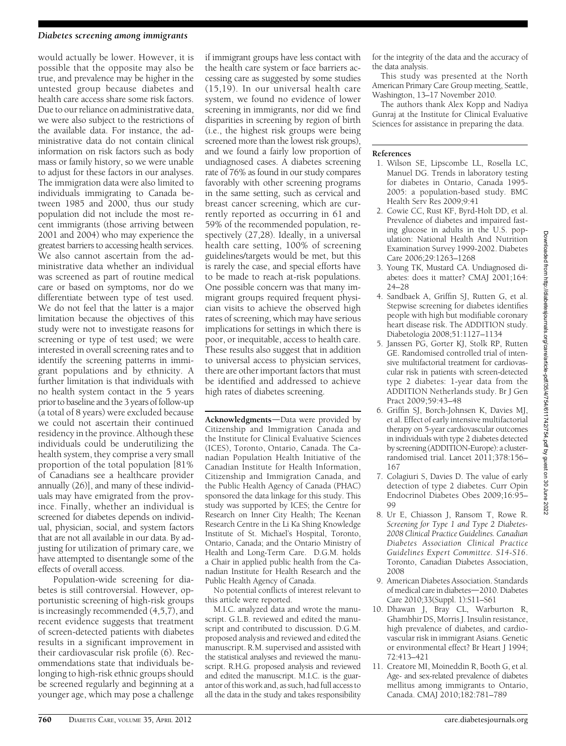### Diabetes screening among immigrants

would actually be lower. However, it is possible that the opposite may also be true, and prevalence may be higher in the untested group because diabetes and health care access share some risk factors. Due to our reliance on administrative data, we were also subject to the restrictions of the available data. For instance, the administrative data do not contain clinical information on risk factors such as body mass or family history, so we were unable to adjust for these factors in our analyses. The immigration data were also limited to individuals immigrating to Canada between 1985 and 2000, thus our study population did not include the most recent immigrants (those arriving between 2001 and 2004) who may experience the greatest barriers to accessing health services. We also cannot ascertain from the administrative data whether an individual was screened as part of routine medical care or based on symptoms, nor do we differentiate between type of test used. We do not feel that the latter is a major limitation because the objectives of this study were not to investigate reasons for screening or type of test used; we were interested in overall screening rates and to identify the screening patterns in immigrant populations and by ethnicity. A further limitation is that individuals with no health system contact in the 5 years prior to baseline and the 3 years of follow-up (a total of 8 years) were excluded because we could not ascertain their continued residency in the province. Although these individuals could be underutilizing the health system, they comprise a very small proportion of the total population [81% of Canadians see a healthcare provider annually (26)], and many of these individuals may have emigrated from the province. Finally, whether an individual is screened for diabetes depends on individual, physician, social, and system factors that are not all available in our data. By adjusting for utilization of primary care, we have attempted to disentangle some of the effects of overall access.

Population-wide screening for diabetes is still controversial. However, opportunistic screening of high-risk groups is increasingly recommended (4,5,7), and recent evidence suggests that treatment of screen-detected patients with diabetes results in a significant improvement in their cardiovascular risk profile (6). Recommendations state that individuals belonging to high-risk ethnic groups should be screened regularly and beginning at a younger age, which may pose a challenge

if immigrant groups have less contact with the health care system or face barriers accessing care as suggested by some studies (15,19). In our universal health care system, we found no evidence of lower screening in immigrants, nor did we find disparities in screening by region of birth (i.e., the highest risk groups were being screened more than the lowest risk groups), and we found a fairly low proportion of undiagnosed cases. A diabetes screening rate of 76% as found in our study compares favorably with other screening programs in the same setting, such as cervical and breast cancer screening, which are currently reported as occurring in 61 and 59% of the recommended population, respectively (27,28). Ideally, in a universal health care setting, 100% of screening guidelines/targets would be met, but this is rarely the case, and special efforts have to be made to reach at-risk populations. One possible concern was that many immigrant groups required frequent physician visits to achieve the observed high rates of screening, which may have serious implications for settings in which there is poor, or inequitable, access to health care. These results also suggest that in addition to universal access to physician services, there are other important factors that must be identified and addressed to achieve high rates of diabetes screening.

Acknowledgments-Data were provided by Citizenship and Immigration Canada and the Institute for Clinical Evaluative Sciences (ICES), Toronto, Ontario, Canada. The Canadian Population Health Initiative of the Canadian Institute for Health Information, Citizenship and Immigration Canada, and the Public Health Agency of Canada (PHAC) sponsored the data linkage for this study. This study was supported by ICES; the Centre for Research on Inner City Health; The Keenan Research Centre in the Li Ka Shing Knowledge Institute of St. Michael's Hospital, Toronto, Ontario, Canada; and the Ontario Ministry of Health and Long-Term Care. D.G.M. holds a Chair in applied public health from the Canadian Institute for Health Research and the Public Health Agency of Canada.

No potential conflicts of interest relevant to this article were reported.

M.I.C. analyzed data and wrote the manuscript. G.L.B. reviewed and edited the manuscript and contributed to discussion. D.G.M. proposed analysis and reviewed and edited the manuscript. R.M. supervised and assisted with the statistical analyses and reviewed the manuscript. R.H.G. proposed analysis and reviewed and edited the manuscript. M.I.C. is the guarantor of this work and, as such, had full access to all the data in the study and takes responsibility

for the integrity of the data and the accuracy of the data analysis.

This study was presented at the North American Primary Care Group meeting, Seattle, Washington, 13–17 November 2010.

The authors thank Alex Kopp and Nadiya Gunraj at the Institute for Clinical Evaluative Sciences for assistance in preparing the data.

### References

- 1. Wilson SE, Lipscombe LL, Rosella LC, Manuel DG. Trends in laboratory testing for diabetes in Ontario, Canada 1995- 2005: a population-based study. BMC Health Serv Res 2009;9:41
- 2. Cowie CC, Rust KF, Byrd-Holt DD, et al. Prevalence of diabetes and impaired fasting glucose in adults in the U.S. population: National Health And Nutrition Examination Survey 1999-2002. Diabetes Care 2006;29:1263–1268
- 3. Young TK, Mustard CA. Undiagnosed diabetes: does it matter? CMAJ 2001;164: 24–28
- 4. Sandbaek A, Griffin SJ, Rutten G, et al. Stepwise screening for diabetes identifies people with high but modifiable coronary heart disease risk. The ADDITION study. Diabetologia 2008;51:1127–1134
- 5. Janssen PG, Gorter KJ, Stolk RP, Rutten GE. Randomised controlled trial of intensive multifactorial treatment for cardiovascular risk in patients with screen-detected type 2 diabetes: 1-year data from the ADDITION Netherlands study. Br J Gen Pract 2009;59:43–48
- 6. Griffin SJ, Borch-Johnsen K, Davies MJ, et al. Effect of early intensive multifactorial therapy on 5-year cardiovascular outcomes in individuals with type 2 diabetes detected by screening (ADDITION-Europe): a clusterrandomised trial. Lancet 2011;378:156– 167
- 7. Colagiuri S, Davies D. The value of early detection of type 2 diabetes. Curr Opin Endocrinol Diabetes Obes 2009;16:95– 99
- 8. Ur E, Chiasson J, Ransom T, Rowe R. Screening for Type 1 and Type 2 Diabetes-2008 Clinical Practice Guidelines. Canadian Diabetes Association Clinical Practice Guidelines Expert Committee. S14-S16. Toronto, Canadian Diabetes Association, 2008
- 9. American Diabetes Association. Standards of medical care in diabetes-2010. Diabetes Care 2010;33(Suppl. 1):S11–S61
- 10. Dhawan J, Bray CL, Warburton R, Ghambhir DS, Morris J. Insulin resistance, high prevalence of diabetes, and cardiovascular risk in immigrant Asians. Genetic or environmental effect? Br Heart J 1994; 72:413–421
- 11. Creatore MI, Moineddin R, Booth G, et al. Age- and sex-related prevalence of diabetes mellitus among immigrants to Ontario, Canada. CMAJ 2010;182:781–789